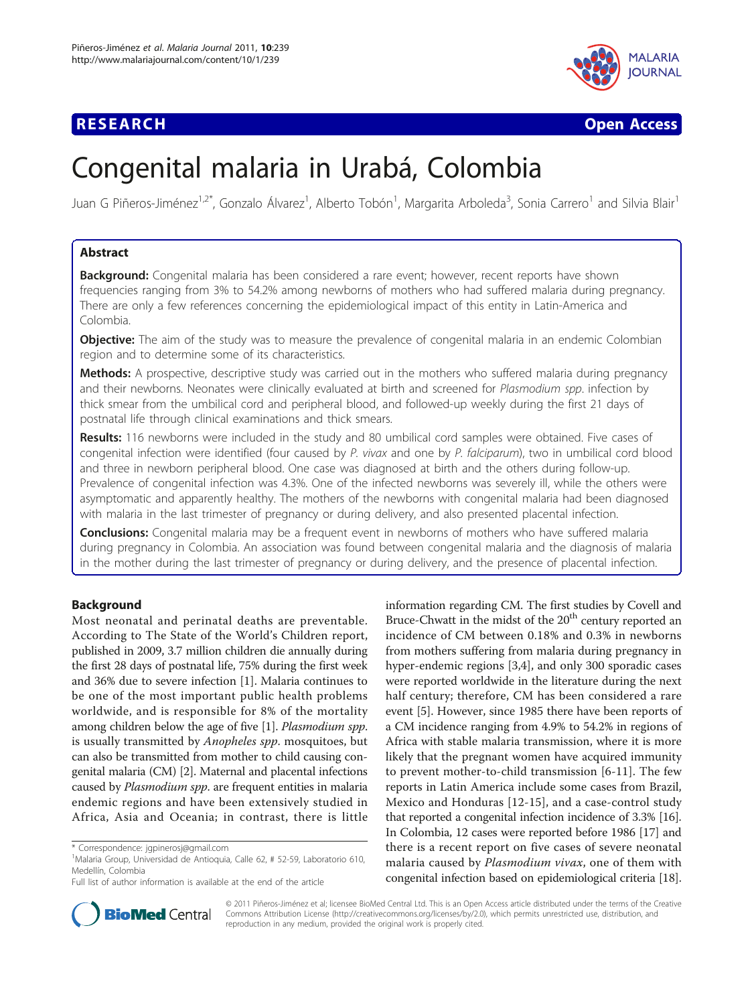

**RESEARCH CONTROL** CONTROL CONTROL CONTROL CONTROL CONTROL CONTROL CONTROL CONTROL CONTROL CONTROL CONTROL CONTROL

# Congenital malaria in Urabá, Colombia

Juan G Piñeros-Jiménez<sup>1,2\*</sup>, Gonzalo Álvarez<sup>1</sup>, Alberto Tobón<sup>1</sup>, Margarita Arboleda<sup>3</sup>, Sonia Carrero<sup>1</sup> and Silvia Blair<sup>1</sup>

# Abstract

Background: Congenital malaria has been considered a rare event; however, recent reports have shown frequencies ranging from 3% to 54.2% among newborns of mothers who had suffered malaria during pregnancy. There are only a few references concerning the epidemiological impact of this entity in Latin-America and Colombia.

**Objective:** The aim of the study was to measure the prevalence of congenital malaria in an endemic Colombian region and to determine some of its characteristics.

Methods: A prospective, descriptive study was carried out in the mothers who suffered malaria during pregnancy and their newborns. Neonates were clinically evaluated at birth and screened for Plasmodium spp. infection by thick smear from the umbilical cord and peripheral blood, and followed-up weekly during the first 21 days of postnatal life through clinical examinations and thick smears.

Results: 116 newborns were included in the study and 80 umbilical cord samples were obtained. Five cases of congenital infection were identified (four caused by P. vivax and one by P. falciparum), two in umbilical cord blood and three in newborn peripheral blood. One case was diagnosed at birth and the others during follow-up. Prevalence of congenital infection was 4.3%. One of the infected newborns was severely ill, while the others were asymptomatic and apparently healthy. The mothers of the newborns with congenital malaria had been diagnosed with malaria in the last trimester of pregnancy or during delivery, and also presented placental infection.

**Conclusions:** Congenital malaria may be a frequent event in newborns of mothers who have suffered malaria during pregnancy in Colombia. An association was found between congenital malaria and the diagnosis of malaria in the mother during the last trimester of pregnancy or during delivery, and the presence of placental infection.

# Background

Most neonatal and perinatal deaths are preventable. According to The State of the World's Children report, published in 2009, 3.7 million children die annually during the first 28 days of postnatal life, 75% during the first week and 36% due to severe infection [[1\]](#page-6-0). Malaria continues to be one of the most important public health problems worldwide, and is responsible for 8% of the mortality among children below the age of five [[1\]](#page-6-0). Plasmodium spp. is usually transmitted by *Anopheles spp*. mosquitoes, but can also be transmitted from mother to child causing congenital malaria (CM) [\[2\]](#page-6-0). Maternal and placental infections caused by Plasmodium spp. are frequent entities in malaria endemic regions and have been extensively studied in Africa, Asia and Oceania; in contrast, there is little

information regarding CM. The first studies by Covell and Bruce-Chwatt in the midst of the 20<sup>th</sup> century reported an incidence of CM between 0.18% and 0.3% in newborns from mothers suffering from malaria during pregnancy in hyper-endemic regions [[3](#page-6-0),[4](#page-6-0)], and only 300 sporadic cases were reported worldwide in the literature during the next half century; therefore, CM has been considered a rare event [\[5](#page-6-0)]. However, since 1985 there have been reports of a CM incidence ranging from 4.9% to 54.2% in regions of Africa with stable malaria transmission, where it is more likely that the pregnant women have acquired immunity to prevent mother-to-child transmission [\[6](#page-6-0)-[11\]](#page-6-0). The few reports in Latin America include some cases from Brazil, Mexico and Honduras [\[12](#page-6-0)-[15](#page-6-0)], and a case-control study that reported a congenital infection incidence of 3.3% [[16](#page-6-0)]. In Colombia, 12 cases were reported before 1986 [\[17\]](#page-6-0) and there is a recent report on five cases of severe neonatal malaria caused by Plasmodium vivax, one of them with congenital infection based on epidemiological criteria [[18](#page-6-0)].



© 2011 Piñeros-Jiménez et al; licensee BioMed Central Ltd. This is an Open Access article distributed under the terms of the Creative Commons Attribution License [\(http://creativecommons.org/licenses/by/2.0](http://creativecommons.org/licenses/by/2.0)), which permits unrestricted use, distribution, and reproduction in any medium, provided the original work is properly cited.

<sup>\*</sup> Correspondence: [jgpinerosj@gmail.com](mailto:jgpinerosj@gmail.com)

<sup>1</sup> Malaria Group, Universidad de Antioquia, Calle 62, # 52-59, Laboratorio 610, Medellín, Colombia

Full list of author information is available at the end of the article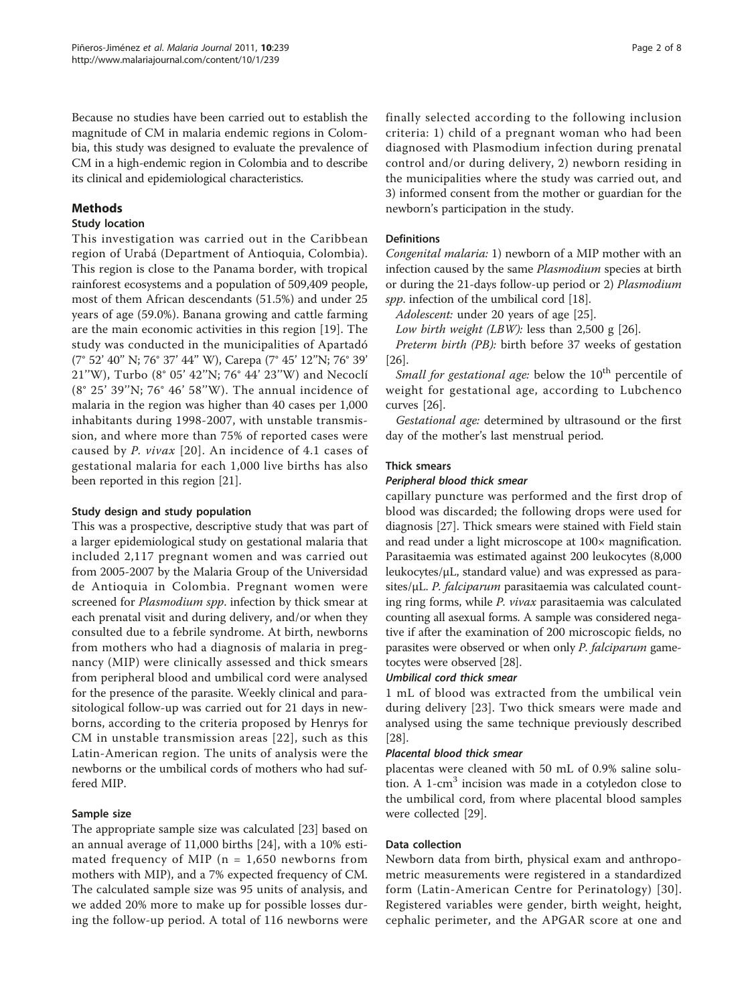Because no studies have been carried out to establish the magnitude of CM in malaria endemic regions in Colombia, this study was designed to evaluate the prevalence of CM in a high-endemic region in Colombia and to describe its clinical and epidemiological characteristics.

# Methods

### Study location

This investigation was carried out in the Caribbean region of Urabá (Department of Antioquia, Colombia). This region is close to the Panama border, with tropical rainforest ecosystems and a population of 509,409 people, most of them African descendants (51.5%) and under 25 years of age (59.0%). Banana growing and cattle farming are the main economic activities in this region [[19\]](#page-6-0). The study was conducted in the municipalities of Apartadó (7° 52' 40'' N; 76° 37' 44'' W), Carepa (7° 45' 12''N; 76° 39' 21''W), Turbo (8° 05' 42''N; 76° 44' 23''W) and Necoclí (8° 25' 39''N; 76° 46' 58''W). The annual incidence of malaria in the region was higher than 40 cases per 1,000 inhabitants during 1998-2007, with unstable transmission, and where more than 75% of reported cases were caused by P. vivax [[20](#page-6-0)]. An incidence of 4.1 cases of gestational malaria for each 1,000 live births has also been reported in this region [[21\]](#page-6-0).

# Study design and study population

This was a prospective, descriptive study that was part of a larger epidemiological study on gestational malaria that included 2,117 pregnant women and was carried out from 2005-2007 by the Malaria Group of the Universidad de Antioquia in Colombia. Pregnant women were screened for *Plasmodium spp*. infection by thick smear at each prenatal visit and during delivery, and/or when they consulted due to a febrile syndrome. At birth, newborns from mothers who had a diagnosis of malaria in pregnancy (MIP) were clinically assessed and thick smears from peripheral blood and umbilical cord were analysed for the presence of the parasite. Weekly clinical and parasitological follow-up was carried out for 21 days in newborns, according to the criteria proposed by Henrys for CM in unstable transmission areas [[22](#page-6-0)], such as this Latin-American region. The units of analysis were the newborns or the umbilical cords of mothers who had suffered MIP.

# Sample size

The appropriate sample size was calculated [[23](#page-6-0)] based on an annual average of 11,000 births [[24\]](#page-6-0), with a 10% estimated frequency of MIP ( $n = 1,650$  newborns from mothers with MIP), and a 7% expected frequency of CM. The calculated sample size was 95 units of analysis, and we added 20% more to make up for possible losses during the follow-up period. A total of 116 newborns were finally selected according to the following inclusion criteria: 1) child of a pregnant woman who had been diagnosed with Plasmodium infection during prenatal control and/or during delivery, 2) newborn residing in the municipalities where the study was carried out, and 3) informed consent from the mother or guardian for the newborn's participation in the study.

### **Definitions**

Congenital malaria: 1) newborn of a MIP mother with an infection caused by the same Plasmodium species at birth or during the 21-days follow-up period or 2) Plasmodium spp. infection of the umbilical cord [\[18\]](#page-6-0).

Adolescent: under 20 years of age [\[25\]](#page-6-0).

Low birth weight (LBW): less than  $2,500 \text{ g}$  [\[26](#page-6-0)].

Preterm birth (PB): birth before 37 weeks of gestation [[26\]](#page-6-0).

Small for gestational age: below the  $10<sup>th</sup>$  percentile of weight for gestational age, according to Lubchenco curves [\[26\]](#page-6-0).

Gestational age: determined by ultrasound or the first day of the mother's last menstrual period.

#### Thick smears

#### Peripheral blood thick smear

capillary puncture was performed and the first drop of blood was discarded; the following drops were used for diagnosis [[27\]](#page-6-0). Thick smears were stained with Field stain and read under a light microscope at 100× magnification. Parasitaemia was estimated against 200 leukocytes (8,000 leukocytes/μL, standard value) and was expressed as parasites/ $\mu$ L. *P. falciparum* parasitaemia was calculated counting ring forms, while P. vivax parasitaemia was calculated counting all asexual forms. A sample was considered negative if after the examination of 200 microscopic fields, no parasites were observed or when only P. falciparum gametocytes were observed [[28](#page-6-0)].

#### Umbilical cord thick smear

1 mL of blood was extracted from the umbilical vein during delivery [\[23\]](#page-6-0). Two thick smears were made and analysed using the same technique previously described [[28\]](#page-6-0).

#### Placental blood thick smear

placentas were cleaned with 50 mL of 0.9% saline solution. A  $1$ -cm<sup>3</sup> incision was made in a cotyledon close to the umbilical cord, from where placental blood samples were collected [[29](#page-6-0)].

#### Data collection

Newborn data from birth, physical exam and anthropometric measurements were registered in a standardized form (Latin-American Centre for Perinatology) [\[30\]](#page-6-0). Registered variables were gender, birth weight, height, cephalic perimeter, and the APGAR score at one and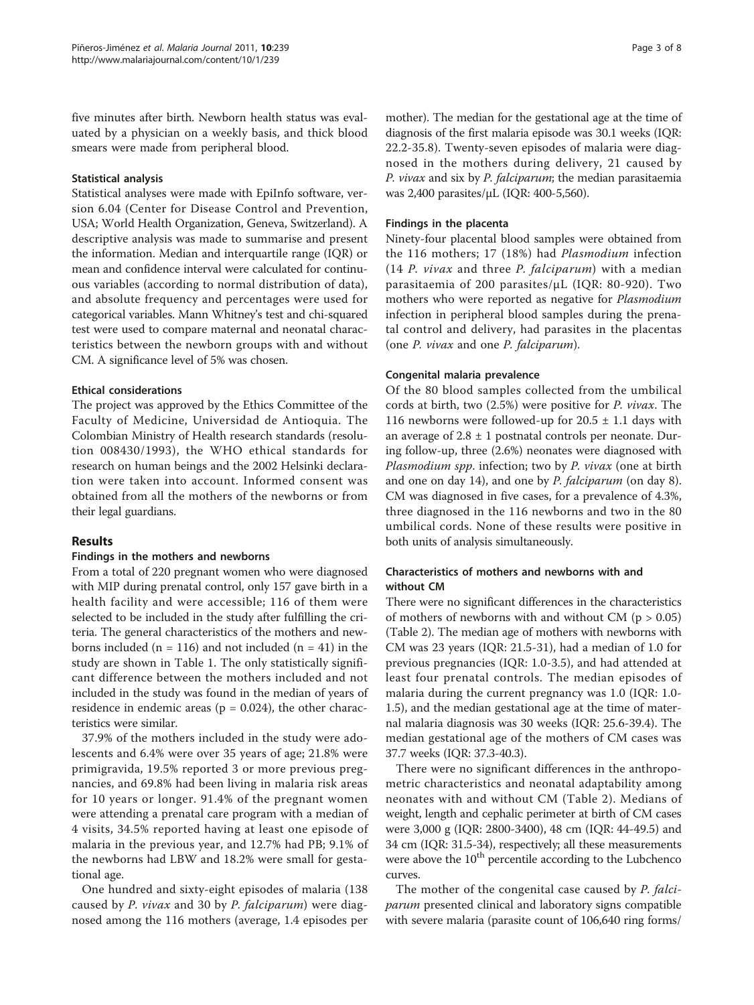five minutes after birth. Newborn health status was evaluated by a physician on a weekly basis, and thick blood smears were made from peripheral blood.

#### Statistical analysis

Statistical analyses were made with EpiInfo software, version 6.04 (Center for Disease Control and Prevention, USA; World Health Organization, Geneva, Switzerland). A descriptive analysis was made to summarise and present the information. Median and interquartile range (IQR) or mean and confidence interval were calculated for continuous variables (according to normal distribution of data), and absolute frequency and percentages were used for categorical variables. Mann Whitney's test and chi-squared test were used to compare maternal and neonatal characteristics between the newborn groups with and without CM. A significance level of 5% was chosen.

#### Ethical considerations

The project was approved by the Ethics Committee of the Faculty of Medicine, Universidad de Antioquia. The Colombian Ministry of Health research standards (resolution 008430/1993), the WHO ethical standards for research on human beings and the 2002 Helsinki declaration were taken into account. Informed consent was obtained from all the mothers of the newborns or from their legal guardians.

# Results

#### Findings in the mothers and newborns

From a total of 220 pregnant women who were diagnosed with MIP during prenatal control, only 157 gave birth in a health facility and were accessible; 116 of them were selected to be included in the study after fulfilling the criteria. The general characteristics of the mothers and newborns included ( $n = 116$ ) and not included ( $n = 41$ ) in the study are shown in Table [1.](#page-3-0) The only statistically significant difference between the mothers included and not included in the study was found in the median of years of residence in endemic areas ( $p = 0.024$ ), the other characteristics were similar.

37.9% of the mothers included in the study were adolescents and 6.4% were over 35 years of age; 21.8% were primigravida, 19.5% reported 3 or more previous pregnancies, and 69.8% had been living in malaria risk areas for 10 years or longer. 91.4% of the pregnant women were attending a prenatal care program with a median of 4 visits, 34.5% reported having at least one episode of malaria in the previous year, and 12.7% had PB; 9.1% of the newborns had LBW and 18.2% were small for gestational age.

One hundred and sixty-eight episodes of malaria (138 caused by P. vivax and 30 by P. falciparum) were diagnosed among the 116 mothers (average, 1.4 episodes per mother). The median for the gestational age at the time of diagnosis of the first malaria episode was 30.1 weeks (IQR: 22.2-35.8). Twenty-seven episodes of malaria were diagnosed in the mothers during delivery, 21 caused by P. vivax and six by P. falciparum; the median parasitaemia was 2,400 parasites/μL (IQR: 400-5,560).

#### Findings in the placenta

Ninety-four placental blood samples were obtained from the 116 mothers; 17 (18%) had Plasmodium infection  $(14 \ P.$  *vivax* and three P. *falciparum*) with a median parasitaemia of 200 parasites/μL (IQR: 80-920). Two mothers who were reported as negative for Plasmodium infection in peripheral blood samples during the prenatal control and delivery, had parasites in the placentas (one P. vivax and one P. falciparum).

#### Congenital malaria prevalence

Of the 80 blood samples collected from the umbilical cords at birth, two (2.5%) were positive for P. vivax. The 116 newborns were followed-up for  $20.5 \pm 1.1$  days with an average of  $2.8 \pm 1$  postnatal controls per neonate. During follow-up, three (2.6%) neonates were diagnosed with Plasmodium spp. infection; two by P. vivax (one at birth and one on day 14), and one by P. falciparum (on day 8). CM was diagnosed in five cases, for a prevalence of 4.3%, three diagnosed in the 116 newborns and two in the 80 umbilical cords. None of these results were positive in both units of analysis simultaneously.

# Characteristics of mothers and newborns with and without CM

There were no significant differences in the characteristics of mothers of newborns with and without CM ( $p > 0.05$ ) (Table [2\)](#page-3-0). The median age of mothers with newborns with CM was 23 years (IQR: 21.5-31), had a median of 1.0 for previous pregnancies (IQR: 1.0-3.5), and had attended at least four prenatal controls. The median episodes of malaria during the current pregnancy was 1.0 (IQR: 1.0- 1.5), and the median gestational age at the time of maternal malaria diagnosis was 30 weeks (IQR: 25.6-39.4). The median gestational age of the mothers of CM cases was 37.7 weeks (IQR: 37.3-40.3).

There were no significant differences in the anthropometric characteristics and neonatal adaptability among neonates with and without CM (Table [2\)](#page-3-0). Medians of weight, length and cephalic perimeter at birth of CM cases were 3,000 g (IQR: 2800-3400), 48 cm (IQR: 44-49.5) and 34 cm (IQR: 31.5-34), respectively; all these measurements were above the  $10<sup>th</sup>$  percentile according to the Lubchenco curves.

The mother of the congenital case caused by P. falciparum presented clinical and laboratory signs compatible with severe malaria (parasite count of 106,640 ring forms/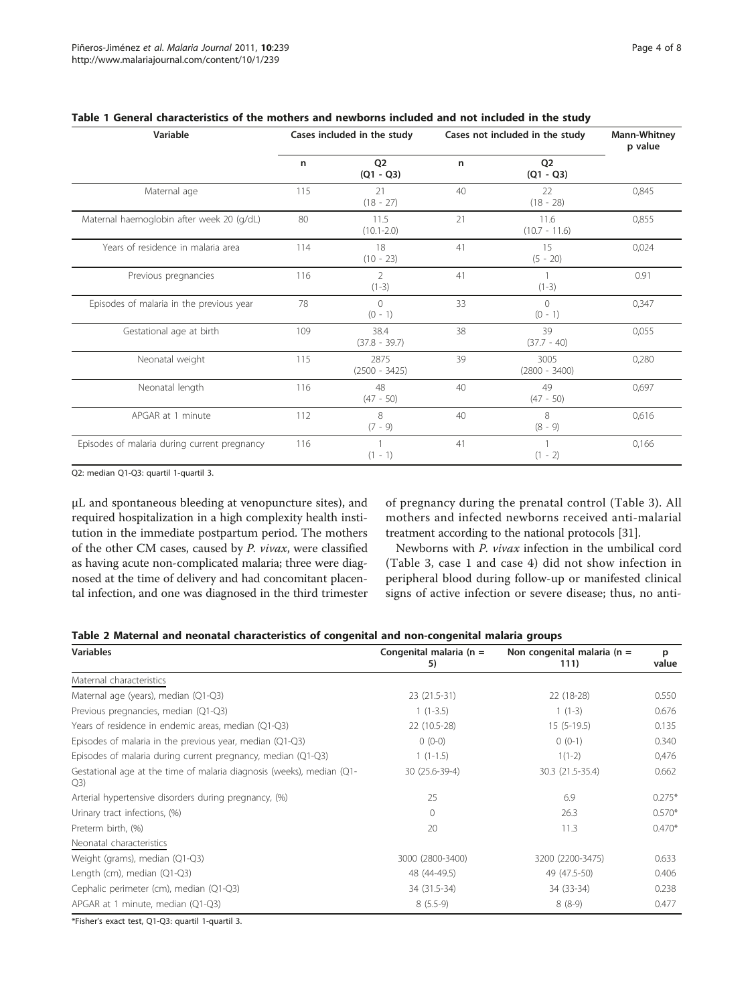| Variable                                     | Cases included in the study |                         | Cases not included in the study | <b>Mann-Whitney</b><br>p value |       |
|----------------------------------------------|-----------------------------|-------------------------|---------------------------------|--------------------------------|-------|
|                                              | $\mathsf{n}$                | 02<br>$(Q1 - Q3)$       | n                               | Q <sub>2</sub><br>$(Q1 - Q3)$  |       |
| Maternal age                                 | 115                         | 21<br>$(18 - 27)$       | 40                              | 22<br>$(18 - 28)$              | 0,845 |
| Maternal haemoglobin after week 20 (g/dL)    | 80                          | 11.5<br>$(10.1 - 2.0)$  | 21                              | 11.6<br>$(10.7 - 11.6)$        | 0,855 |
| Years of residence in malaria area           | 114                         | 18<br>$(10 - 23)$       | 41                              | 15<br>$(5 - 20)$               | 0,024 |
| Previous pregnancies                         | 116                         | 2<br>$(1-3)$            | 41                              | $(1-3)$                        | 0.91  |
| Episodes of malaria in the previous year     | 78                          | $\Omega$<br>$(0 - 1)$   | 33                              | $\Omega$<br>$(0 - 1)$          | 0,347 |
| Gestational age at birth                     | 109                         | 38.4<br>$(37.8 - 39.7)$ | 38                              | 39<br>$(37.7 - 40)$            | 0,055 |
| Neonatal weight                              | 115                         | 2875<br>$(2500 - 3425)$ | 39                              | 3005<br>$(2800 - 3400)$        | 0,280 |
| Neonatal length                              | 116                         | 48<br>$(47 - 50)$       | 40                              | 49<br>$(47 - 50)$              | 0,697 |
| APGAR at 1 minute                            | 112                         | 8<br>$(7 - 9)$          | 40                              | 8<br>$(8 - 9)$                 | 0,616 |
| Episodes of malaria during current pregnancy | 116                         | $(1 - 1)$               | 41                              | $(1 - 2)$                      | 0,166 |

<span id="page-3-0"></span>

|  |  | Table 1 General characteristics of the mothers and newborns included and not included in the study |  |  |  |  |  |  |  |  |  |  |  |  |
|--|--|----------------------------------------------------------------------------------------------------|--|--|--|--|--|--|--|--|--|--|--|--|
|--|--|----------------------------------------------------------------------------------------------------|--|--|--|--|--|--|--|--|--|--|--|--|

Q2: median Q1-Q3: quartil 1-quartil 3.

μL and spontaneous bleeding at venopuncture sites), and required hospitalization in a high complexity health institution in the immediate postpartum period. The mothers of the other CM cases, caused by P. vivax, were classified as having acute non-complicated malaria; three were diagnosed at the time of delivery and had concomitant placental infection, and one was diagnosed in the third trimester of pregnancy during the prenatal control (Table [3](#page-4-0)). All mothers and infected newborns received anti-malarial treatment according to the national protocols [[31](#page-6-0)].

Newborns with P. vivax infection in the umbilical cord (Table [3,](#page-4-0) case 1 and case 4) did not show infection in peripheral blood during follow-up or manifested clinical signs of active infection or severe disease; thus, no anti-

| Table 2 Maternal and neonatal characteristics of congenital and non-congenital malaria groups |  |  |
|-----------------------------------------------------------------------------------------------|--|--|
|-----------------------------------------------------------------------------------------------|--|--|

| <b>Variables</b>                                                             | Congenital malaria ( $n =$<br>5) | Non congenital malaria ( $n =$<br>111) | р<br>value |
|------------------------------------------------------------------------------|----------------------------------|----------------------------------------|------------|
| Maternal characteristics                                                     |                                  |                                        |            |
| Maternal age (years), median (Q1-Q3)                                         | 23 (21.5-31)                     | 22 (18-28)                             | 0.550      |
| Previous pregnancies, median (Q1-Q3)                                         | $1(1-3.5)$                       | $1(1-3)$                               | 0.676      |
| Years of residence in endemic areas, median (Q1-Q3)                          | 22 (10.5-28)                     | $15(5-19.5)$                           | 0.135      |
| Episodes of malaria in the previous year, median $(Q1-Q3)$                   | $0(0-0)$                         | $0(0-1)$                               | 0.340      |
| Episodes of malaria during current pregnancy, median (Q1-Q3)                 | $1(1-1.5)$                       | $1(1-2)$                               | 0,476      |
| Gestational age at the time of malaria diagnosis (weeks), median (Q1-<br>Q3) | 30 (25.6-39-4)                   | 30.3 (21.5-35.4)                       | 0.662      |
| Arterial hypertensive disorders during pregnancy, (%)                        | 25                               | 6.9                                    | $0.275*$   |
| Urinary tract infections, (%)                                                | $\Omega$                         | 26.3                                   | $0.570*$   |
| Preterm birth, (%)                                                           | 20                               | 11.3                                   | $0.470*$   |
| Neonatal characteristics                                                     |                                  |                                        |            |
| Weight (grams), median (Q1-Q3)                                               | 3000 (2800-3400)                 | 3200 (2200-3475)                       | 0.633      |
| Length (cm), median (Q1-Q3)                                                  | 48 (44-49.5)                     | 49 (47.5-50)                           | 0.406      |
| Cephalic perimeter (cm), median (Q1-Q3)                                      | 34 (31.5-34)                     | 34 (33-34)                             | 0.238      |
| APGAR at 1 minute, median (Q1-Q3)                                            | $8(5.5-9)$                       | $8(8-9)$                               | 0.477      |

\*Fisher's exact test, Q1-Q3: quartil 1-quartil 3.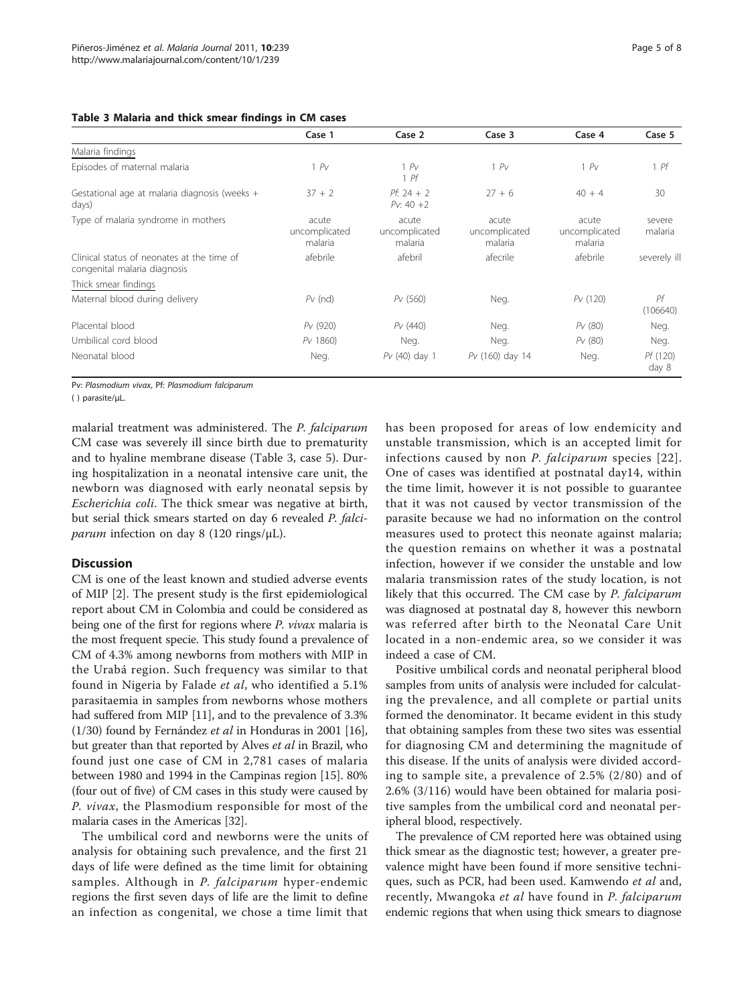#### <span id="page-4-0"></span>Table 3 Malaria and thick smear findings in CM cases

|                                                                            | Case 1                            | Case 2                            | Case 3                            | Case 4                            | Case 5            |
|----------------------------------------------------------------------------|-----------------------------------|-----------------------------------|-----------------------------------|-----------------------------------|-------------------|
| Malaria findings                                                           |                                   |                                   |                                   |                                   |                   |
| Episodes of maternal malaria                                               | 1 PV                              | 1 PV<br>1Pf                       | 1 PV                              | 1 PV                              | $1$ Pf            |
| Gestational age at malaria diagnosis (weeks +<br>days)                     | $37 + 2$                          | $Pf: 24 + 2$<br>$Pv: 40 + 2$      | $27 + 6$                          | $40 + 4$                          | 30                |
| Type of malaria syndrome in mothers                                        | acute<br>uncomplicated<br>malaria | acute<br>uncomplicated<br>malaria | acute<br>uncomplicated<br>malaria | acute<br>uncomplicated<br>malaria | severe<br>malaria |
| Clinical status of neonates at the time of<br>congenital malaria diagnosis | afebrile                          | afebril                           | afecrile                          | afebrile                          | severely ill      |
| Thick smear findings                                                       |                                   |                                   |                                   |                                   |                   |
| Maternal blood during delivery                                             | $PV$ (nd)                         | PV(560)                           | Neg.                              | PV(120)                           | Pf<br>(106640)    |
| Placental blood                                                            | Pv (920)                          | PV(440)                           | Neg.                              | PV(80)                            | Neg.              |
| Umbilical cord blood                                                       | Pv 1860)                          | Neg.                              | Neg.                              | PV(80)                            | Neg.              |
| Neonatal blood                                                             | Neg.                              | $PV(40)$ day 1                    | Pv (160) day 14                   | Neg.                              | Pf (120)<br>day 8 |

Pv: Plasmodium vivax, Pf: Plasmodium falciparum

( ) parasite/μL.

malarial treatment was administered. The P. falciparum CM case was severely ill since birth due to prematurity and to hyaline membrane disease (Table 3, case 5). During hospitalization in a neonatal intensive care unit, the newborn was diagnosed with early neonatal sepsis by Escherichia coli. The thick smear was negative at birth, but serial thick smears started on day 6 revealed P. falciparum infection on day 8 (120 rings/ $\mu$ L).

# **Discussion**

CM is one of the least known and studied adverse events of MIP [[2\]](#page-6-0). The present study is the first epidemiological report about CM in Colombia and could be considered as being one of the first for regions where P. vivax malaria is the most frequent specie. This study found a prevalence of CM of 4.3% among newborns from mothers with MIP in the Urabá region. Such frequency was similar to that found in Nigeria by Falade et al, who identified a 5.1% parasitaemia in samples from newborns whose mothers had suffered from MIP [[11](#page-6-0)], and to the prevalence of 3.3% (1/30) found by Fernández et al in Honduras in 2001 [[16](#page-6-0)], but greater than that reported by Alves et al in Brazil, who found just one case of CM in 2,781 cases of malaria between 1980 and 1994 in the Campinas region [\[15\]](#page-6-0). 80% (four out of five) of CM cases in this study were caused by P. vivax, the Plasmodium responsible for most of the malaria cases in the Americas [[32](#page-6-0)].

The umbilical cord and newborns were the units of analysis for obtaining such prevalence, and the first 21 days of life were defined as the time limit for obtaining samples. Although in P. falciparum hyper-endemic regions the first seven days of life are the limit to define an infection as congenital, we chose a time limit that

has been proposed for areas of low endemicity and unstable transmission, which is an accepted limit for infections caused by non P. falciparum species [[22\]](#page-6-0). One of cases was identified at postnatal day14, within the time limit, however it is not possible to guarantee that it was not caused by vector transmission of the parasite because we had no information on the control measures used to protect this neonate against malaria; the question remains on whether it was a postnatal infection, however if we consider the unstable and low malaria transmission rates of the study location, is not likely that this occurred. The CM case by P. falciparum was diagnosed at postnatal day 8, however this newborn was referred after birth to the Neonatal Care Unit located in a non-endemic area, so we consider it was indeed a case of CM.

Positive umbilical cords and neonatal peripheral blood samples from units of analysis were included for calculating the prevalence, and all complete or partial units formed the denominator. It became evident in this study that obtaining samples from these two sites was essential for diagnosing CM and determining the magnitude of this disease. If the units of analysis were divided according to sample site, a prevalence of 2.5% (2/80) and of 2.6% (3/116) would have been obtained for malaria positive samples from the umbilical cord and neonatal peripheral blood, respectively.

The prevalence of CM reported here was obtained using thick smear as the diagnostic test; however, a greater prevalence might have been found if more sensitive techniques, such as PCR, had been used. Kamwendo et al and, recently, Mwangoka et al have found in P. falciparum endemic regions that when using thick smears to diagnose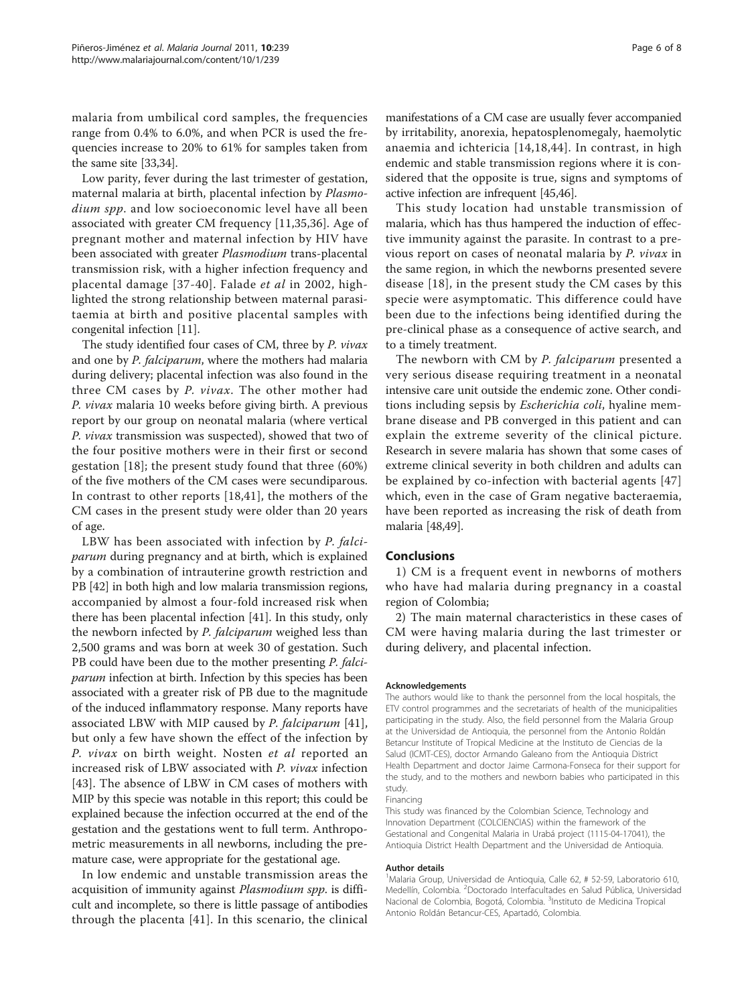malaria from umbilical cord samples, the frequencies range from 0.4% to 6.0%, and when PCR is used the frequencies increase to 20% to 61% for samples taken from the same site [\[33,34](#page-6-0)].

Low parity, fever during the last trimester of gestation, maternal malaria at birth, placental infection by Plasmodium spp. and low socioeconomic level have all been associated with greater CM frequency [\[11](#page-6-0),[35,36\]](#page-6-0). Age of pregnant mother and maternal infection by HIV have been associated with greater Plasmodium trans-placental transmission risk, with a higher infection frequency and placental damage [[37-40\]](#page-6-0). Falade et al in 2002, highlighted the strong relationship between maternal parasitaemia at birth and positive placental samples with congenital infection [[11\]](#page-6-0).

The study identified four cases of CM, three by P. vivax and one by P. falciparum, where the mothers had malaria during delivery; placental infection was also found in the three CM cases by P. vivax. The other mother had P. vivax malaria 10 weeks before giving birth. A previous report by our group on neonatal malaria (where vertical P. vivax transmission was suspected), showed that two of the four positive mothers were in their first or second gestation [[18](#page-6-0)]; the present study found that three (60%) of the five mothers of the CM cases were secundiparous. In contrast to other reports [\[18](#page-6-0),[41\]](#page-6-0), the mothers of the CM cases in the present study were older than 20 years of age.

LBW has been associated with infection by P. falciparum during pregnancy and at birth, which is explained by a combination of intrauterine growth restriction and PB [[42](#page-6-0)] in both high and low malaria transmission regions, accompanied by almost a four-fold increased risk when there has been placental infection [[41](#page-6-0)]. In this study, only the newborn infected by P. falciparum weighed less than 2,500 grams and was born at week 30 of gestation. Such PB could have been due to the mother presenting P. falciparum infection at birth. Infection by this species has been associated with a greater risk of PB due to the magnitude of the induced inflammatory response. Many reports have associated LBW with MIP caused by P. falciparum [\[41](#page-6-0)], but only a few have shown the effect of the infection by P. vivax on birth weight. Nosten et al reported an increased risk of LBW associated with P. vivax infection [[43](#page-6-0)]. The absence of LBW in CM cases of mothers with MIP by this specie was notable in this report; this could be explained because the infection occurred at the end of the gestation and the gestations went to full term. Anthropometric measurements in all newborns, including the premature case, were appropriate for the gestational age.

In low endemic and unstable transmission areas the acquisition of immunity against *Plasmodium spp*. is difficult and incomplete, so there is little passage of antibodies through the placenta [[41\]](#page-6-0). In this scenario, the clinical

manifestations of a CM case are usually fever accompanied by irritability, anorexia, hepatosplenomegaly, haemolytic anaemia and ichtericia [[14,18,44\]](#page-6-0). In contrast, in high endemic and stable transmission regions where it is considered that the opposite is true, signs and symptoms of active infection are infrequent [[45,46\]](#page-6-0).

This study location had unstable transmission of malaria, which has thus hampered the induction of effective immunity against the parasite. In contrast to a previous report on cases of neonatal malaria by P. vivax in the same region, in which the newborns presented severe disease [\[18\]](#page-6-0), in the present study the CM cases by this specie were asymptomatic. This difference could have been due to the infections being identified during the pre-clinical phase as a consequence of active search, and to a timely treatment.

The newborn with CM by P. falciparum presented a very serious disease requiring treatment in a neonatal intensive care unit outside the endemic zone. Other conditions including sepsis by Escherichia coli, hyaline membrane disease and PB converged in this patient and can explain the extreme severity of the clinical picture. Research in severe malaria has shown that some cases of extreme clinical severity in both children and adults can be explained by co-infection with bacterial agents [[47](#page-7-0)] which, even in the case of Gram negative bacteraemia, have been reported as increasing the risk of death from malaria [[48,49](#page-7-0)].

#### Conclusions

1) CM is a frequent event in newborns of mothers who have had malaria during pregnancy in a coastal region of Colombia;

2) The main maternal characteristics in these cases of CM were having malaria during the last trimester or during delivery, and placental infection.

#### Acknowledgements

The authors would like to thank the personnel from the local hospitals, the ETV control programmes and the secretariats of health of the municipalities participating in the study. Also, the field personnel from the Malaria Group at the Universidad de Antioquia, the personnel from the Antonio Roldán Betancur Institute of Tropical Medicine at the Instituto de Ciencias de la Salud (ICMT-CES), doctor Armando Galeano from the Antioquia District Health Department and doctor Jaime Carmona-Fonseca for their support for the study, and to the mothers and newborn babies who participated in this study.

#### Financing

This study was financed by the Colombian Science, Technology and Innovation Department (COLCIENCIAS) within the framework of the Gestational and Congenital Malaria in Urabá project (1115-04-17041), the Antioquia District Health Department and the Universidad de Antioquia.

#### Author details

<sup>1</sup>Malaria Group, Universidad de Antioquia, Calle 62, # 52-59, Laboratorio 610, Medellín, Colombia. <sup>2</sup>Doctorado Interfacultades en Salud Pública, Universidad Nacional de Colombia, Bogotá, Colombia. <sup>3</sup>Instituto de Medicina Tropical Antonio Roldán Betancur-CES, Apartadó, Colombia.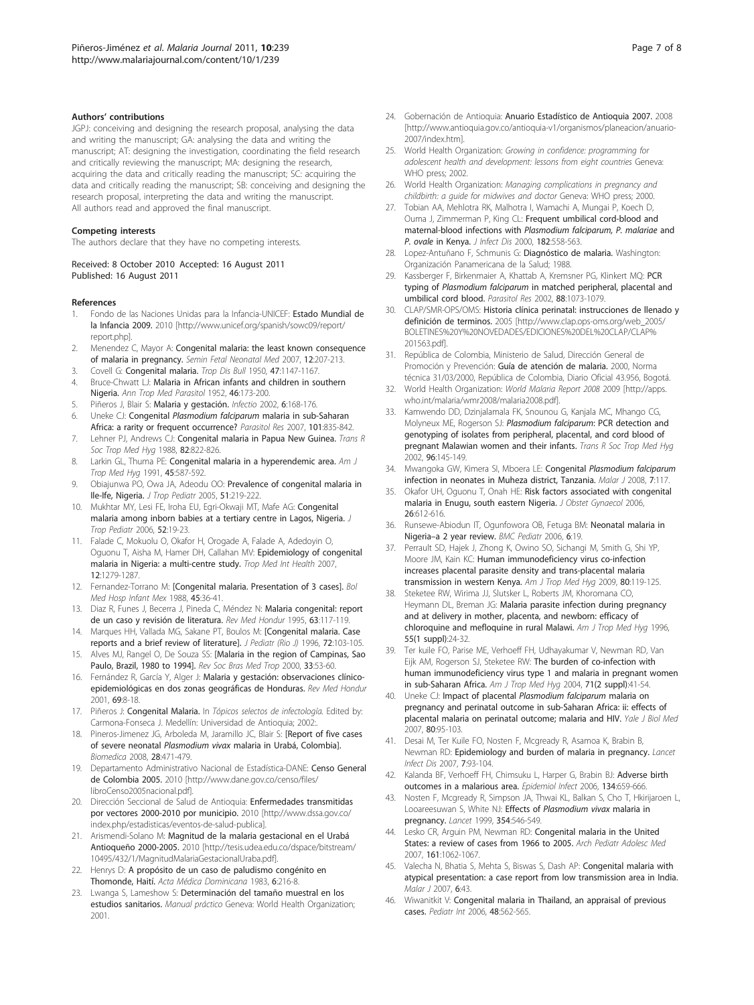#### <span id="page-6-0"></span>Authors' contributions

JGPJ: conceiving and designing the research proposal, analysing the data and writing the manuscript; GA: analysing the data and writing the manuscript; AT: designing the investigation, coordinating the field research and critically reviewing the manuscript; MA: designing the research, acquiring the data and critically reading the manuscript; SC: acquiring the data and critically reading the manuscript; SB: conceiving and designing the research proposal, interpreting the data and writing the manuscript. All authors read and approved the final manuscript.

#### Competing interests

The authors declare that they have no competing interests.

#### Received: 8 October 2010 Accepted: 16 August 2011 Published: 16 August 2011

#### References

- Fondo de las Naciones Unidas para la Infancia-UNICEF: Estado Mundial de la Infancia 2009. 2010 [[http://www.unicef.org/spanish/sowc09/report/](http://www.unicef.org/spanish/sowc09/report/report.php) [report.php\]](http://www.unicef.org/spanish/sowc09/report/report.php).
- 2. Menendez C, Mayor A: [Congenital malaria: the least known consequence](http://www.ncbi.nlm.nih.gov/pubmed/17483042?dopt=Abstract) [of malaria in pregnancy.](http://www.ncbi.nlm.nih.gov/pubmed/17483042?dopt=Abstract) Semin Fetal Neonatal Med 2007, 12:207-213.
- 3. Covell G: [Congenital malaria.](http://www.ncbi.nlm.nih.gov/pubmed/14817831?dopt=Abstract) Trop Dis Bull 1950, 47:1147-1167.
- 4. Bruce-Chwatt LJ: [Malaria in African infants and children in southern](http://www.ncbi.nlm.nih.gov/pubmed/12986705?dopt=Abstract) [Nigeria.](http://www.ncbi.nlm.nih.gov/pubmed/12986705?dopt=Abstract) Ann Trop Med Parasitol 1952, 46:173-200.
- 5. Piñeros J, Blair S: Malaria y gestación. Infectio 2002, 6:168-176.
- 6. Uneke CJ: Congenital Plasmodium falciparum [malaria in sub-Saharan](http://www.ncbi.nlm.nih.gov/pubmed/17549517?dopt=Abstract) [Africa: a rarity or frequent occurrence?](http://www.ncbi.nlm.nih.gov/pubmed/17549517?dopt=Abstract) Parasitol Res 2007, 101:835-842.
- 7. Lehner PJ, Andrews CJ: [Congenital malaria in Papua New Guinea.](http://www.ncbi.nlm.nih.gov/pubmed/3256983?dopt=Abstract) Trans R Soc Trop Med Hyg 1988, 82:822-826.
- 8. Larkin GL, Thuma PE: [Congenital malaria in a hyperendemic area.](http://www.ncbi.nlm.nih.gov/pubmed/1951868?dopt=Abstract) Am J Trop Med Hyg 1991, 45:587-592.
- 9. Obiajunwa PO, Owa JA, Adeodu OO: [Prevalence of congenital malaria in](http://www.ncbi.nlm.nih.gov/pubmed/15980030?dopt=Abstract) [Ile-Ife, Nigeria.](http://www.ncbi.nlm.nih.gov/pubmed/15980030?dopt=Abstract) J Trop Pediatr 2005, 51:219-222.
- 10. Mukhtar MY, Lesi FE, Iroha EU, Egri-Okwaji MT, Mafe AG: [Congenital](http://www.ncbi.nlm.nih.gov/pubmed/15927946?dopt=Abstract) [malaria among inborn babies at a tertiary centre in Lagos, Nigeria.](http://www.ncbi.nlm.nih.gov/pubmed/15927946?dopt=Abstract) J Trop Pediatr 2006, 52:19-23.
- 11. Falade C, Mokuolu O, Okafor H, Orogade A, Falade A, Adedoyin O, Oguonu T, Aisha M, Hamer DH, Callahan MV: [Epidemiology of congenital](http://www.ncbi.nlm.nih.gov/pubmed/17956542?dopt=Abstract) [malaria in Nigeria: a multi-centre study.](http://www.ncbi.nlm.nih.gov/pubmed/17956542?dopt=Abstract) Trop Med Int Health 2007, 12:1279-1287.
- 12. Fernandez-Torrano M: [\[Congenital malaria. Presentation of 3 cases\].](http://www.ncbi.nlm.nih.gov/pubmed/3285854?dopt=Abstract) Bol Med Hosp Infant Mex 1988, 45:36-41.
- 13. Diaz R, Funes J, Becerra J, Pineda C, Méndez N: Malaria congenital: report de un caso y revisión de literatura. Rev Med Hondur 1995, 63:117-119.
- 14. Marques HH, Vallada MG, Sakane PT, Boulos M: [Congenital malaria. Case reports and a brief review of literature]. J Pediatr (Rio J) 1996, 72:103-105.
- 15. Alves MJ, Rangel O, De Souza SS: [\[Malaria in the region of Campinas, Sao](http://www.ncbi.nlm.nih.gov/pubmed/10881119?dopt=Abstract) [Paulo, Brazil, 1980 to 1994\].](http://www.ncbi.nlm.nih.gov/pubmed/10881119?dopt=Abstract) Rev Soc Bras Med Trop 2000, 33:53-60.
- 16. Fernández R, García Y, Alger J: Malaria y gestación: observaciones clínicoepidemiológicas en dos zonas geográficas de Honduras. Rev Med Hondur 2001, 69:8-18.
- 17. Piñeros J: [Congenital Malaria.](http://www.ncbi.nlm.nih.gov/pubmed/21845753?dopt=Abstract) In Tópicos selectos de infectología. Edited by: Carmona-Fonseca J. Medellín: Universidad de Antioquia; 2002:.
- 18. Pineros-Jimenez JG, Arboleda M, Jaramillo JC, Blair S: [\[Report of five cases](http://www.ncbi.nlm.nih.gov/pubmed/19462553?dopt=Abstract) of severe neonatal Plasmodium vivax [malaria in Urabá, Colombia\].](http://www.ncbi.nlm.nih.gov/pubmed/19462553?dopt=Abstract) Biomedica 2008, 28:471-479.
- 19. Departamento Administrativo Nacional de Estadística-DANE: Censo General de Colombia 2005. 2010 [\[http://www.dane.gov.co/censo/files/](http://www.dane.gov.co/censo/files/libroCenso2005nacional.pdf) [libroCenso2005nacional.pdf\]](http://www.dane.gov.co/censo/files/libroCenso2005nacional.pdf).
- 20. Dirección Seccional de Salud de Antioquia: Enfermedades transmitidas por vectores 2000-2010 por municipio. 2010 [[http://www.dssa.gov.co/](http://www.dssa.gov.co/index.php/estadisticas/eventos-de-salud-publica) [index.php/estadisticas/eventos-de-salud-publica](http://www.dssa.gov.co/index.php/estadisticas/eventos-de-salud-publica)].
- 21. Arismendi-Solano M: Magnitud de la malaria gestacional en el Urabá Antioqueño 2000-2005. 2010 [[http://tesis.udea.edu.co/dspace/bitstream/](http://tesis.udea.edu.co/dspace/bitstream/10495/432/1/MagnitudMalariaGestacionalUraba.pdf) [10495/432/1/MagnitudMalariaGestacionalUraba.pdf\]](http://tesis.udea.edu.co/dspace/bitstream/10495/432/1/MagnitudMalariaGestacionalUraba.pdf).
- 22. Henrys D: [A propósito de un caso de paludismo congénito en](http://www.ncbi.nlm.nih.gov/pubmed/21824117?dopt=Abstract) [Thomonde, Haití.](http://www.ncbi.nlm.nih.gov/pubmed/21824117?dopt=Abstract) Acta Médica Dominicana 1983, 6:216-8.
- 23. Lwanga S, Lameshow S: [Determinación del tamaño muestral en los](http://www.ncbi.nlm.nih.gov/pubmed/21845351?dopt=Abstract) [estudios sanitarios.](http://www.ncbi.nlm.nih.gov/pubmed/21845351?dopt=Abstract) Manual práctico Geneva: World Health Organization; 2001.
- 24. Gobernación de Antioquia: Anuario Estadístico de Antioquia 2007. 2008 [[http://www.antioquia.gov.co/antioquia-v1/organismos/planeacion/anuario-](http://www.antioquia.gov.co/antioquia-v1/organismos/planeacion/anuario-2007/index.htm)[2007/index.htm](http://www.antioquia.gov.co/antioquia-v1/organismos/planeacion/anuario-2007/index.htm)].
- 25. World Health Organization: Growing in confidence: programming for adolescent health and development: lessons from eight countries Geneva: WHO press; 2002.
- 26. World Health Organization: Managing complications in pregnancy and childbirth: a guide for midwives and doctor Geneva: WHO press; 2000.
- 27. Tobian AA, Mehlotra RK, Malhotra I, Wamachi A, Mungai P, Koech D, Ouma J, Zimmerman P, King CL: [Frequent umbilical cord-blood and](http://www.ncbi.nlm.nih.gov/pubmed/10915089?dopt=Abstract) [maternal-blood infections with](http://www.ncbi.nlm.nih.gov/pubmed/10915089?dopt=Abstract) Plasmodium falciparum, P. malariae and P. ovale [in Kenya.](http://www.ncbi.nlm.nih.gov/pubmed/10915089?dopt=Abstract) J Infect Dis 2000, 182:558-563.
- 28. Lopez-Antuñano F, Schmunis G: Diagnóstico de malaria. Washington: Organización Panamericana de la Salud; 1988.
- 29. Kassberger F, Birkenmaier A, Khattab A, Kremsner PG, Klinkert MQ: [PCR](http://www.ncbi.nlm.nih.gov/pubmed/12444458?dopt=Abstract) typing of Plasmodium falciparum [in matched peripheral, placental and](http://www.ncbi.nlm.nih.gov/pubmed/12444458?dopt=Abstract) [umbilical cord blood.](http://www.ncbi.nlm.nih.gov/pubmed/12444458?dopt=Abstract) Parasitol Res 2002, 88:1073-1079.
- 30. CLAP/SMR-OPS/OMS: Historia clínica perinatal: instrucciones de llenado y definición de terminos. 2005 [\[http://www.clap.ops-oms.org/web\\_2005/](http://www.clap.ops-oms.org/web_2005/BOLETINES%20Y%20NOVEDADES/EDICIONES%20DEL%20CLAP/CLAP%201563.pdf) [BOLETINES%20Y%20NOVEDADES/EDICIONES%20DEL%20CLAP/CLAP%](http://www.clap.ops-oms.org/web_2005/BOLETINES%20Y%20NOVEDADES/EDICIONES%20DEL%20CLAP/CLAP%201563.pdf) [201563.pdf\]](http://www.clap.ops-oms.org/web_2005/BOLETINES%20Y%20NOVEDADES/EDICIONES%20DEL%20CLAP/CLAP%201563.pdf).
- 31. República de Colombia, Ministerio de Salud, Dirección General de Promoción y Prevención: Guía de atención de malaria. 2000, Norma técnica 31/03/2000, República de Colombia, Diario Oficial 43.956, Bogotá.
- 32. World Health Organization: World Malaria Report 2008 2009 [\[http://apps.](http://apps.who.int/malaria/wmr2008/malaria2008.pdf) [who.int/malaria/wmr2008/malaria2008.pdf\]](http://apps.who.int/malaria/wmr2008/malaria2008.pdf).
- 33. Kamwendo DD, Dzinjalamala FK, Snounou G, Kanjala MC, Mhango CG, Molyneux ME, Rogerson SJ: Plasmodium falciparum[: PCR detection and](http://www.ncbi.nlm.nih.gov/pubmed/12055802?dopt=Abstract) [genotyping of isolates from peripheral, placental, and cord blood of](http://www.ncbi.nlm.nih.gov/pubmed/12055802?dopt=Abstract) [pregnant Malawian women and their infants.](http://www.ncbi.nlm.nih.gov/pubmed/12055802?dopt=Abstract) Trans R Soc Trop Med Hyg 2002, 96:145-149.
- 34. Mwangoka GW, Kimera SI, Mboera LE: Congenital [Plasmodium falciparum](http://www.ncbi.nlm.nih.gov/pubmed/18598342?dopt=Abstract) [infection in neonates in Muheza district, Tanzania.](http://www.ncbi.nlm.nih.gov/pubmed/18598342?dopt=Abstract) Malar J 2008. 7:117.
- 35. Okafor UH, Oguonu T, Onah HE: [Risk factors associated with congenital](http://www.ncbi.nlm.nih.gov/pubmed/17071423?dopt=Abstract) [malaria in Enugu, south eastern Nigeria.](http://www.ncbi.nlm.nih.gov/pubmed/17071423?dopt=Abstract) J Obstet Gynaecol 2006, 26:612-616.
- 36. Runsewe-Abiodun IT, Ogunfowora OB, Fetuga BM: [Neonatal malaria in](http://www.ncbi.nlm.nih.gov/pubmed/16768801?dopt=Abstract) Nigeria–[a 2 year review.](http://www.ncbi.nlm.nih.gov/pubmed/16768801?dopt=Abstract) BMC Pediatr 2006, 6:19.
- 37. Perrault SD, Hajek J, Zhong K, Owino SO, Sichangi M, Smith G, Shi YP, Moore JM, Kain KC: [Human immunodeficiency virus co-infection](http://www.ncbi.nlm.nih.gov/pubmed/19141849?dopt=Abstract) [increases placental parasite density and trans-placental malaria](http://www.ncbi.nlm.nih.gov/pubmed/19141849?dopt=Abstract) [transmission in western Kenya.](http://www.ncbi.nlm.nih.gov/pubmed/19141849?dopt=Abstract) Am J Trop Med Hyg 2009, 80:119-125.
- 38. Steketee RW, Wirima JJ, Slutsker L, Roberts JM, Khoromana CO, Heymann DL, Breman JG: [Malaria parasite infection during pregnancy](http://www.ncbi.nlm.nih.gov/pubmed/8702018?dopt=Abstract) [and at delivery in mother, placenta, and newborn: efficacy of](http://www.ncbi.nlm.nih.gov/pubmed/8702018?dopt=Abstract) [chloroquine and mefloquine in rural Malawi.](http://www.ncbi.nlm.nih.gov/pubmed/8702018?dopt=Abstract) Am J Trop Med Hyg 1996, 55(1 suppl):24-32.
- 39. Ter kuile FO, Parise ME, Verhoeff FH, Udhayakumar V, Newman RD, Van Eijk AM, Rogerson SJ, Steketee RW: [The burden of co-infection with](http://www.ncbi.nlm.nih.gov/pubmed/15331818?dopt=Abstract) [human immunodeficiency virus type 1 and malaria in pregnant women](http://www.ncbi.nlm.nih.gov/pubmed/15331818?dopt=Abstract) [in sub-Saharan Africa.](http://www.ncbi.nlm.nih.gov/pubmed/15331818?dopt=Abstract) Am J Trop Med Hyg 2004, 71(2 suppl):41-54.
- 40. Uneke CJ: [Impact of placental](http://www.ncbi.nlm.nih.gov/pubmed/18299721?dopt=Abstract) Plasmodium falciparum malaria on [pregnancy and perinatal outcome in sub-Saharan Africa: ii: effects of](http://www.ncbi.nlm.nih.gov/pubmed/18299721?dopt=Abstract) [placental malaria on perinatal outcome; malaria and HIV.](http://www.ncbi.nlm.nih.gov/pubmed/18299721?dopt=Abstract) Yale J Biol Med 2007, 80:95-103.
- 41. Desai M, Ter Kuile FO, Nosten F, Mcgready R, Asamoa K, Brabin B, Newman RD: [Epidemiology and burden of malaria in pregnancy.](http://www.ncbi.nlm.nih.gov/pubmed/17251080?dopt=Abstract) Lancet Infect Dis 2007, 7:93-104.
- 42. Kalanda BF, Verhoeff FH, Chimsuku L, Harper G, Brabin BJ: [Adverse birth](http://www.ncbi.nlm.nih.gov/pubmed/16255832?dopt=Abstract) [outcomes in a malarious area.](http://www.ncbi.nlm.nih.gov/pubmed/16255832?dopt=Abstract) Epidemiol Infect 2006, 134:659-666.
- 43. Nosten F, Mcgready R, Simpson JA, Thwai KL, Balkan S, Cho T, Hkirijaroen L, Looareesuwan S, White NJ: Effects of [Plasmodium vivax](http://www.ncbi.nlm.nih.gov/pubmed/10470698?dopt=Abstract) malaria in [pregnancy.](http://www.ncbi.nlm.nih.gov/pubmed/10470698?dopt=Abstract) Lancet 1999, 354:546-549.
- 44. Lesko CR, Arguin PM, Newman RD: [Congenital malaria in the United](http://www.ncbi.nlm.nih.gov/pubmed/17984408?dopt=Abstract) [States: a review of cases from 1966 to 2005.](http://www.ncbi.nlm.nih.gov/pubmed/17984408?dopt=Abstract) Arch Pediatr Adolesc Med 2007, 161:1062-1067.
- 45. Valecha N, Bhatia S, Mehta S, Biswas S, Dash AP: [Congenital malaria with](http://www.ncbi.nlm.nih.gov/pubmed/17430603?dopt=Abstract) [atypical presentation: a case report from low transmission area in India.](http://www.ncbi.nlm.nih.gov/pubmed/17430603?dopt=Abstract) Malar 1 2007 **6:**43
- 46. Wiwanitkit V: [Congenital malaria in Thailand, an appraisal of previous](http://www.ncbi.nlm.nih.gov/pubmed/17168974?dopt=Abstract) [cases.](http://www.ncbi.nlm.nih.gov/pubmed/17168974?dopt=Abstract) Pediatr Int 2006, 48:562-565.